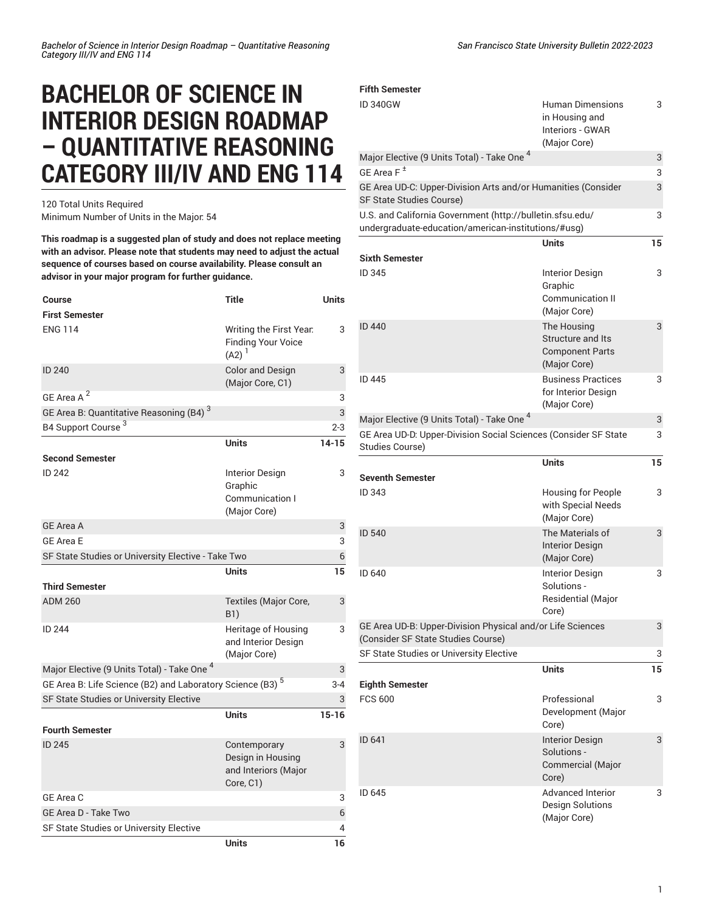## **BACHELOR OF SCIENCE IN INTERIOR DESIGN ROADMAP – QUANTITATIVE REASONING CATEGORY III/IV AND ENG 114**

120 Total Units Required Minimum Number of Units in the Major: 54

**This roadmap is a suggested plan of study and does not replace meeting with an advisor. Please note that students may need to adjust the actual sequence of courses based on course availability. Please consult an advisor in your major program for further guidance.**

| <b>Course</b>                                                         | <b>Title</b>                                                           | Units     |
|-----------------------------------------------------------------------|------------------------------------------------------------------------|-----------|
| <b>First Semester</b>                                                 |                                                                        |           |
| <b>ENG 114</b>                                                        | Writing the First Year.<br><b>Finding Your Voice</b><br>$(A2)^{1}$     | 3         |
| <b>ID 240</b>                                                         | <b>Color and Design</b><br>(Major Core, C1)                            | 3         |
| GE Area A <sup>2</sup>                                                |                                                                        | 3         |
| GE Area B: Quantitative Reasoning (B4) <sup>3</sup>                   |                                                                        | 3         |
| B4 Support Course <sup>3</sup>                                        |                                                                        | $2 - 3$   |
|                                                                       | <b>Units</b>                                                           | $14 - 15$ |
| <b>Second Semester</b>                                                |                                                                        |           |
| <b>ID 242</b>                                                         | <b>Interior Design</b>                                                 | 3         |
|                                                                       | Graphic                                                                |           |
|                                                                       | Communication I<br>(Major Core)                                        |           |
| <b>GE Area A</b>                                                      |                                                                        | 3         |
| <b>GE Area E</b>                                                      |                                                                        | 3         |
| SF State Studies or University Elective - Take Two                    |                                                                        | 6         |
|                                                                       | Units                                                                  | 15        |
| <b>Third Semester</b>                                                 |                                                                        |           |
| <b>ADM 260</b>                                                        | Textiles (Major Core,<br>B1)                                           | 3         |
| ID 244                                                                | Heritage of Housing<br>and Interior Design<br>(Major Core)             | 3         |
| Major Elective (9 Units Total) - Take One <sup>4</sup>                |                                                                        | 3         |
| GE Area B: Life Science (B2) and Laboratory Science (B3) <sup>5</sup> |                                                                        | $3 - 4$   |
| SF State Studies or University Elective                               |                                                                        | 3         |
|                                                                       | <b>Units</b>                                                           | $15 - 16$ |
| <b>Fourth Semester</b>                                                |                                                                        |           |
| <b>ID 245</b>                                                         | Contemporary<br>Design in Housing<br>and Interiors (Major<br>Core, C1) | 3         |
| GE Area C                                                             |                                                                        | 3         |
| <b>GE Area D - Take Two</b>                                           |                                                                        | 6         |
| SF State Studies or University Elective                               |                                                                        | 4         |
|                                                                       | <b>Units</b>                                                           | 16        |

| <b>Fifth Semester</b>                                                                                            |                                                                               |    |
|------------------------------------------------------------------------------------------------------------------|-------------------------------------------------------------------------------|----|
| <b>ID 340GW</b>                                                                                                  | <b>Human Dimensions</b><br>in Housing and<br>Interiors - GWAR<br>(Major Core) | 3  |
| Major Elective (9 Units Total) - Take One <sup>4</sup>                                                           |                                                                               | 3  |
| GE Area $F^{\pm}$                                                                                                |                                                                               | 3  |
| GE Area UD-C: Upper-Division Arts and/or Humanities (Consider<br><b>SF State Studies Course)</b>                 |                                                                               | 3  |
| U.S. and California Government (http://bulletin.sfsu.edu/<br>undergraduate-education/american-institutions/#usg) |                                                                               | 3  |
|                                                                                                                  | Units                                                                         | 15 |
| <b>Sixth Semester</b>                                                                                            |                                                                               |    |
| ID 345                                                                                                           | <b>Interior Design</b><br>Graphic<br><b>Communication II</b><br>(Major Core)  | 3  |
| <b>ID 440</b>                                                                                                    | The Housing<br>Structure and Its<br><b>Component Parts</b><br>(Major Core)    | 3  |
| ID 445                                                                                                           | <b>Business Practices</b><br>for Interior Design<br>(Major Core)              | 3  |
| Major Elective (9 Units Total) - Take One <sup>4</sup>                                                           |                                                                               | 3  |
| GE Area UD-D: Upper-Division Social Sciences (Consider SF State<br>Studies Course)                               |                                                                               | 3  |
|                                                                                                                  |                                                                               |    |
|                                                                                                                  | <b>Units</b>                                                                  | 15 |
| <b>Seventh Semester</b>                                                                                          |                                                                               |    |
| ID 343                                                                                                           | <b>Housing for People</b><br>with Special Needs<br>(Major Core)               | 3  |
| ID 540                                                                                                           | The Materials of<br><b>Interior Design</b><br>(Major Core)                    | 3  |
| ID 640                                                                                                           | Interior Design<br>Solutions -<br><b>Residential (Major</b><br>Core)          | 3  |
| GE Area UD-B: Upper-Division Physical and/or Life Sciences<br>(Consider SF State Studies Course)                 |                                                                               | 3  |
| SF State Studies or University Elective                                                                          |                                                                               | 3  |
|                                                                                                                  | <b>Units</b>                                                                  | 15 |
| <b>Eighth Semester</b>                                                                                           |                                                                               |    |
| <b>FCS 600</b>                                                                                                   | Professional<br>Development (Major<br>Core)                                   | 3  |
| ID 641                                                                                                           | <b>Interior Design</b><br>Solutions -<br>Commercial (Major<br>Core)           | 3  |